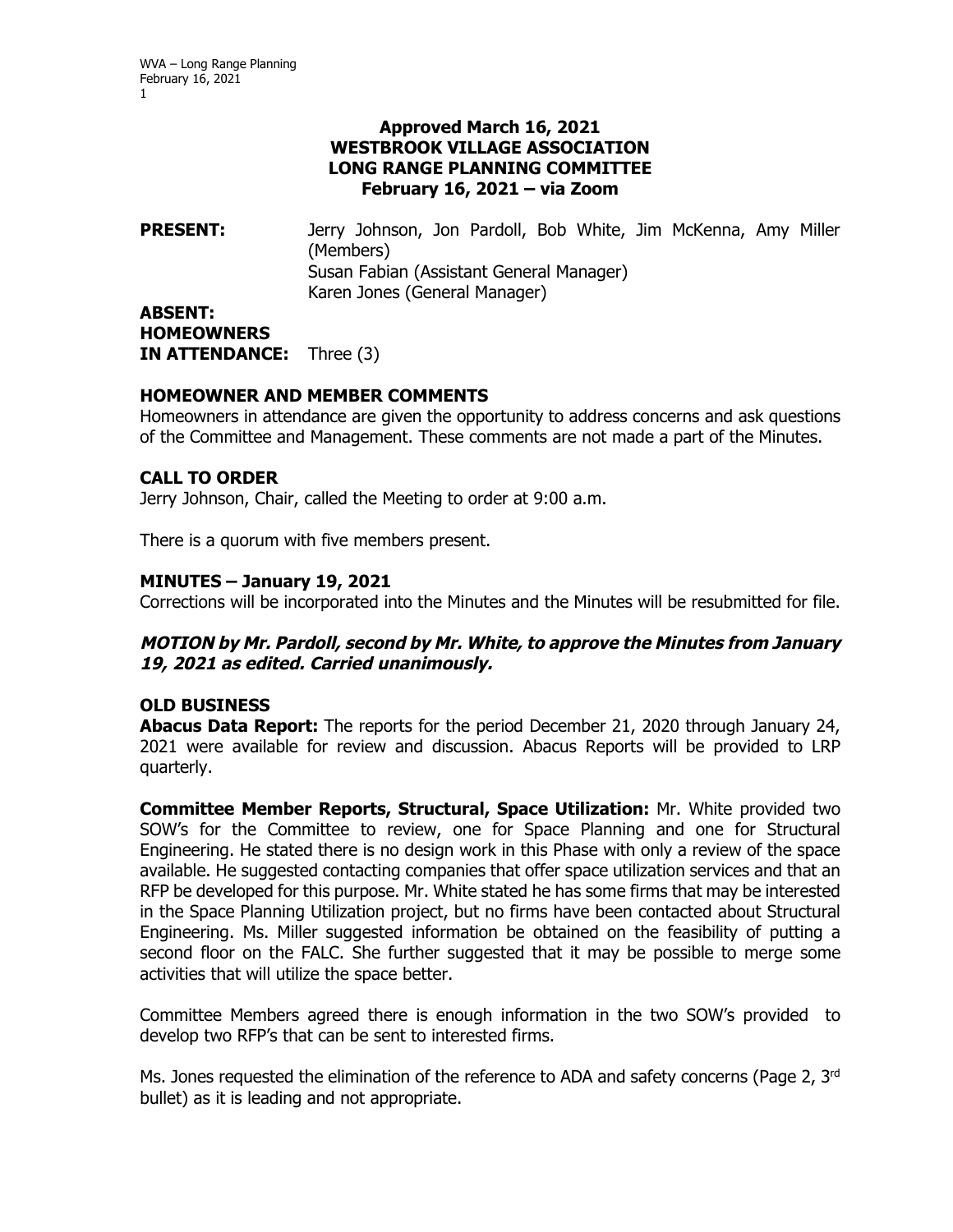## **Approved March 16, 2021 WESTBROOK VILLAGE ASSOCIATION LONG RANGE PLANNING COMMITTEE February 16, 2021 – via Zoom**

**PRESENT:** Jerry Johnson, Jon Pardoll, Bob White, Jim McKenna, Amy Miller (Members) Susan Fabian (Assistant General Manager) Karen Jones (General Manager) **ABSENT: HOMEOWNERS** 

**IN ATTENDANCE:** Three (3)

# **HOMEOWNER AND MEMBER COMMENTS**

Homeowners in attendance are given the opportunity to address concerns and ask questions of the Committee and Management. These comments are not made a part of the Minutes.

# **CALL TO ORDER**

Jerry Johnson, Chair, called the Meeting to order at 9:00 a.m.

There is a quorum with five members present.

### **MINUTES – January 19, 2021**

Corrections will be incorporated into the Minutes and the Minutes will be resubmitted for file.

### **MOTION by Mr. Pardoll, second by Mr. White, to approve the Minutes from January 19, 2021 as edited. Carried unanimously.**

### **OLD BUSINESS**

**Abacus Data Report:** The reports for the period December 21, 2020 through January 24, 2021 were available for review and discussion. Abacus Reports will be provided to LRP quarterly.

**Committee Member Reports, Structural, Space Utilization:** Mr. White provided two SOW's for the Committee to review, one for Space Planning and one for Structural Engineering. He stated there is no design work in this Phase with only a review of the space available. He suggested contacting companies that offer space utilization services and that an RFP be developed for this purpose. Mr. White stated he has some firms that may be interested in the Space Planning Utilization project, but no firms have been contacted about Structural Engineering. Ms. Miller suggested information be obtained on the feasibility of putting a second floor on the FALC. She further suggested that it may be possible to merge some activities that will utilize the space better.

Committee Members agreed there is enough information in the two SOW's provided to develop two RFP's that can be sent to interested firms.

Ms. Jones requested the elimination of the reference to ADA and safety concerns (Page 2, 3rd bullet) as it is leading and not appropriate.